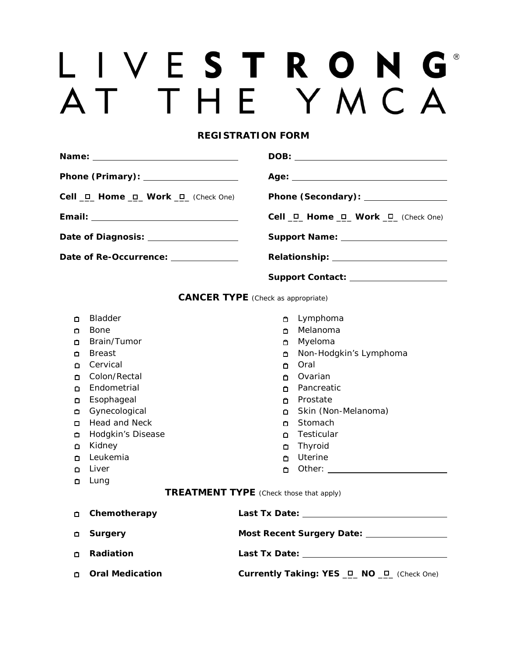## LIVESTRONG® AT THE YMCA

## **REGISTRATION FORM**

|                                                | Cell <u>D</u> Home D Work D (Check One) |                                                 |  |  |  |  |  |  |
|------------------------------------------------|-----------------------------------------|-------------------------------------------------|--|--|--|--|--|--|
|                                                |                                         | Cell $\Box$ Home $\Box$ Work $\Box$ (Check One) |  |  |  |  |  |  |
|                                                | Date of Diagnosis: __________________   | Support Name: _______________________           |  |  |  |  |  |  |
|                                                | Date of Re-Occurrence: _____________    |                                                 |  |  |  |  |  |  |
|                                                |                                         | Support Contact: ___________________            |  |  |  |  |  |  |
| <b>CANCER TYPE</b> (Check as appropriate)      |                                         |                                                 |  |  |  |  |  |  |
| о                                              | <b>Bladder</b>                          | Lymphoma<br>$\Box$                              |  |  |  |  |  |  |
| □                                              | Bone                                    | Melanoma                                        |  |  |  |  |  |  |
| □                                              | Brain/Tumor                             | Myeloma                                         |  |  |  |  |  |  |
| □                                              | <b>Breast</b>                           | Non-Hodgkin's Lymphoma<br>□                     |  |  |  |  |  |  |
| П                                              | Cervical                                | Oral<br>о                                       |  |  |  |  |  |  |
| о                                              | Colon/Rectal                            | Ovarian<br>$\Box$                               |  |  |  |  |  |  |
| о                                              | Endometrial                             | Pancreatic<br>п                                 |  |  |  |  |  |  |
| □                                              | Esophageal                              | Prostate<br>О.                                  |  |  |  |  |  |  |
| о                                              | Gynecological                           | Skin (Non-Melanoma)                             |  |  |  |  |  |  |
| ◘                                              | Head and Neck                           | Stomach<br>$\Box$                               |  |  |  |  |  |  |
| □                                              | Hodgkin's Disease                       | Testicular<br>О.                                |  |  |  |  |  |  |
| □                                              | Kidney                                  | Thyroid                                         |  |  |  |  |  |  |
| □                                              | Leukemia                                | Uterine<br>$\Box$                               |  |  |  |  |  |  |
| □                                              | Liver                                   | $\Box$                                          |  |  |  |  |  |  |
| □                                              | Lung                                    |                                                 |  |  |  |  |  |  |
| <b>TREATMENT TYPE</b> (Check those that apply) |                                         |                                                 |  |  |  |  |  |  |
| □                                              | Chemotherapy                            |                                                 |  |  |  |  |  |  |
| □                                              | <b>Surgery</b>                          | Most Recent Surgery Date: ________________      |  |  |  |  |  |  |
| □                                              | Radiation                               |                                                 |  |  |  |  |  |  |
| □                                              | <b>Oral Medication</b>                  | Currently Taking: YES _O_ NO _O_ (Check One)    |  |  |  |  |  |  |